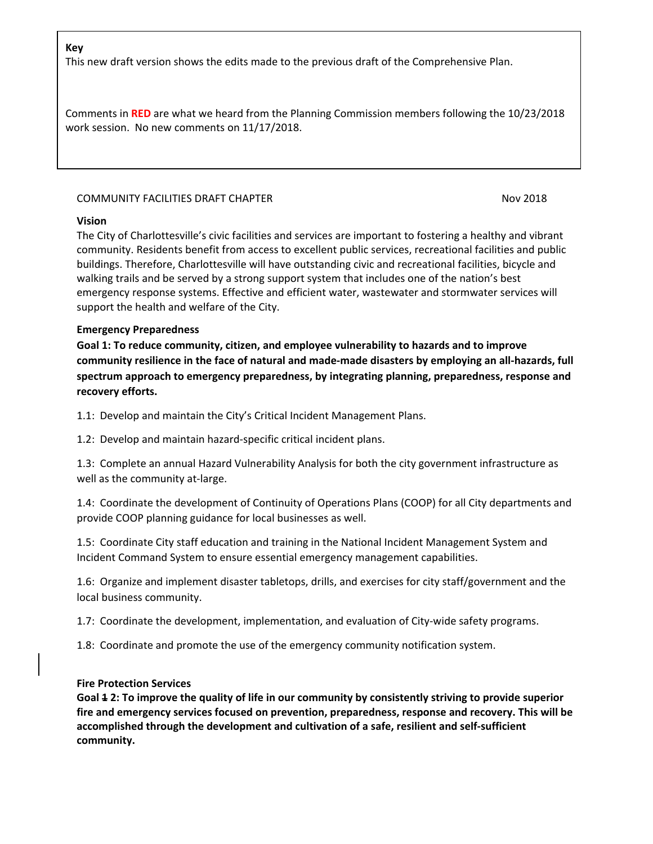## **Key**

This new draft version shows the edits made to the previous draft of the Comprehensive Plan.

Comments in **RED** are what we heard from the Planning Commission members following the 10/23/2018 work session. No new comments on 11/17/2018.

### COMMUNITY FACILITIES DRAFT CHAPTER NOV 2018

### **Vision**

The City of Charlottesville's civic facilities and services are important to fostering a healthy and vibrant community. Residents benefit from access to excellent public services, recreational facilities and public buildings. Therefore, Charlottesville will have outstanding civic and recreational facilities, bicycle and walking trails and be served by a strong support system that includes one of the nation's best emergency response systems. Effective and efficient water, wastewater and stormwater services will support the health and welfare of the City.

### **Emergency Preparedness**

**Goal 1: To reduce community, citizen, and employee vulnerability to hazards and to improve community resilience in the face of natural and made-made disasters by employing an all-hazards, full spectrum approach to emergency preparedness, by integrating planning, preparedness, response and recovery efforts.**

1.1: Develop and maintain the City's Critical Incident Management Plans.

1.2: Develop and maintain hazard-specific critical incident plans.

1.3: Complete an annual Hazard Vulnerability Analysis for both the city government infrastructure as well as the community at-large.

1.4: Coordinate the development of Continuity of Operations Plans (COOP) for all City departments and provide COOP planning guidance for local businesses as well.

1.5: Coordinate City staff education and training in the National Incident Management System and Incident Command System to ensure essential emergency management capabilities.

1.6: Organize and implement disaster tabletops, drills, and exercises for city staff/government and the local business community.

1.7: Coordinate the development, implementation, and evaluation of City-wide safety programs.

1.8: Coordinate and promote the use of the emergency community notification system.

### **Fire Protection Services**

**Goal 1 2: To improve the quality of life in our community by consistently striving to provide superior fire and emergency services focused on prevention, preparedness, response and recovery. This will be accomplished through the development and cultivation of a safe, resilient and self-sufficient community.**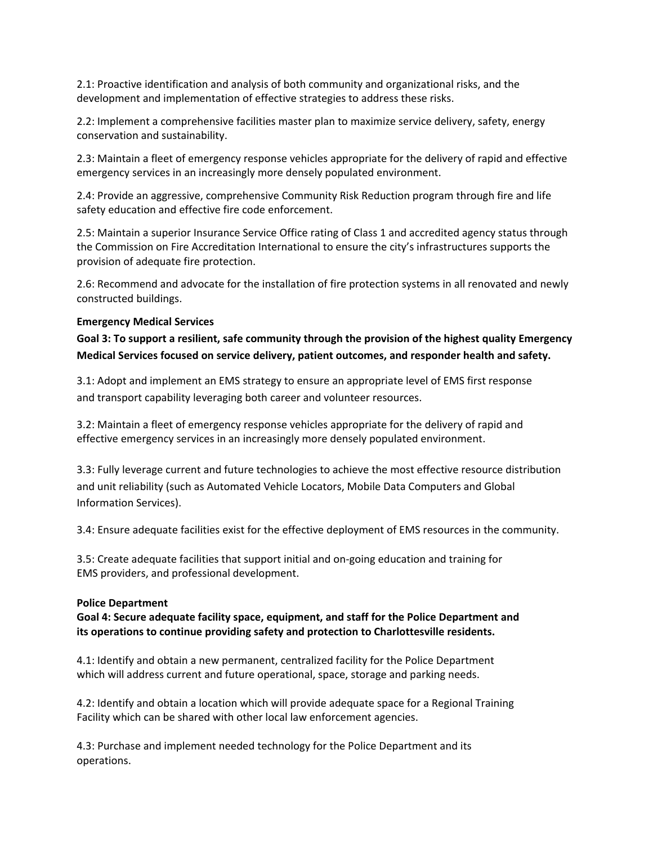2.1: Proactive identification and analysis of both community and organizational risks, and the development and implementation of effective strategies to address these risks.

2.2: Implement a comprehensive facilities master plan to maximize service delivery, safety, energy conservation and sustainability.

2.3: Maintain a fleet of emergency response vehicles appropriate for the delivery of rapid and effective emergency services in an increasingly more densely populated environment.

2.4: Provide an aggressive, comprehensive Community Risk Reduction program through fire and life safety education and effective fire code enforcement.

2.5: Maintain a superior Insurance Service Office rating of Class 1 and accredited agency status through the Commission on Fire Accreditation International to ensure the city's infrastructures supports the provision of adequate fire protection.

2.6: Recommend and advocate for the installation of fire protection systems in all renovated and newly constructed buildings.

### **Emergency Medical Services**

**Goal 3: To support a resilient, safe community through the provision of the highest quality Emergency Medical Services focused on service delivery, patient outcomes, and responder health and safety.**

3.1: Adopt and implement an EMS strategy to ensure an appropriate level of EMS first response and transport capability leveraging both career and volunteer resources.

3.2: Maintain a fleet of emergency response vehicles appropriate for the delivery of rapid and effective emergency services in an increasingly more densely populated environment.

3.3: Fully leverage current and future technologies to achieve the most effective resource distribution and unit reliability (such as Automated Vehicle Locators, Mobile Data Computers and Global Information Services).

3.4: Ensure adequate facilities exist for the effective deployment of EMS resources in the community.

3.5: Create adequate facilities that support initial and on-going education and training for EMS providers, and professional development.

### **Police Department**

**Goal 4: Secure adequate facility space, equipment, and staff for the Police Department and its operations to continue providing safety and protection to Charlottesville residents.**

4.1: Identify and obtain a new permanent, centralized facility for the Police Department which will address current and future operational, space, storage and parking needs.

4.2: Identify and obtain a location which will provide adequate space for a Regional Training Facility which can be shared with other local law enforcement agencies.

4.3: Purchase and implement needed technology for the Police Department and its operations.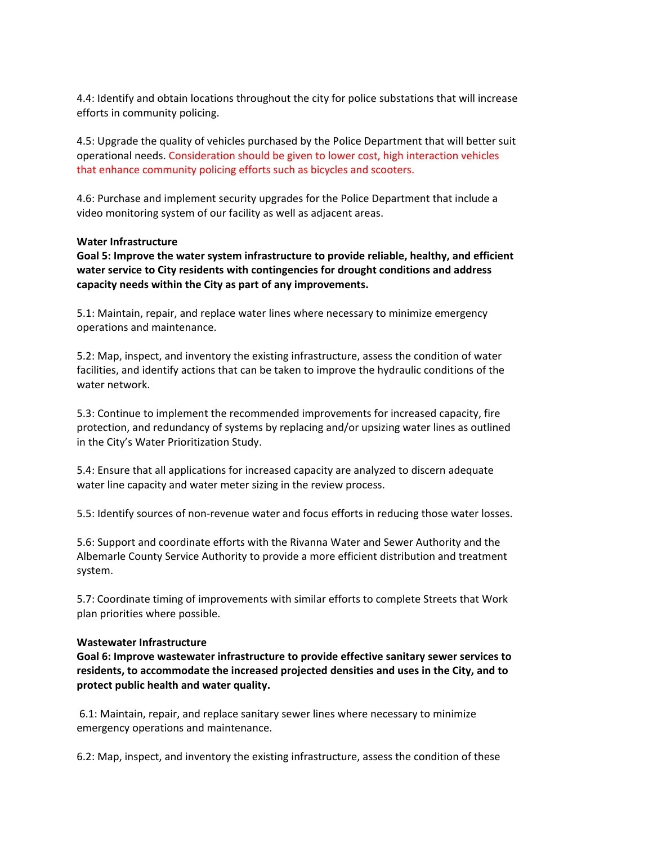4.4: Identify and obtain locations throughout the city for police substations that will increase efforts in community policing.

4.5: Upgrade the quality of vehicles purchased by the Police Department that will better suit operational needs. Consideration should be given to lower cost, high interaction vehicles that enhance community policing efforts such as bicycles and scooters.

4.6: Purchase and implement security upgrades for the Police Department that include a video monitoring system of our facility as well as adjacent areas.

### **Water Infrastructure**

**Goal 5: Improve the water system infrastructure to provide reliable, healthy, and efficient water service to City residents with contingencies for drought conditions and address capacity needs within the City as part of any improvements.**

5.1: Maintain, repair, and replace water lines where necessary to minimize emergency operations and maintenance.

5.2: Map, inspect, and inventory the existing infrastructure, assess the condition of water facilities, and identify actions that can be taken to improve the hydraulic conditions of the water network.

5.3: Continue to implement the recommended improvements for increased capacity, fire protection, and redundancy of systems by replacing and/or upsizing water lines as outlined in the City's Water Prioritization Study.

5.4: Ensure that all applications for increased capacity are analyzed to discern adequate water line capacity and water meter sizing in the review process.

5.5: Identify sources of non-revenue water and focus efforts in reducing those water losses.

5.6: Support and coordinate efforts with the Rivanna Water and Sewer Authority and the Albemarle County Service Authority to provide a more efficient distribution and treatment system.

5.7: Coordinate timing of improvements with similar efforts to complete Streets that Work plan priorities where possible.

### **Wastewater Infrastructure**

**Goal 6: Improve wastewater infrastructure to provide effective sanitary sewer services to residents, to accommodate the increased projected densities and uses in the City, and to protect public health and water quality.**

6.1: Maintain, repair, and replace sanitary sewer lines where necessary to minimize emergency operations and maintenance.

6.2: Map, inspect, and inventory the existing infrastructure, assess the condition of these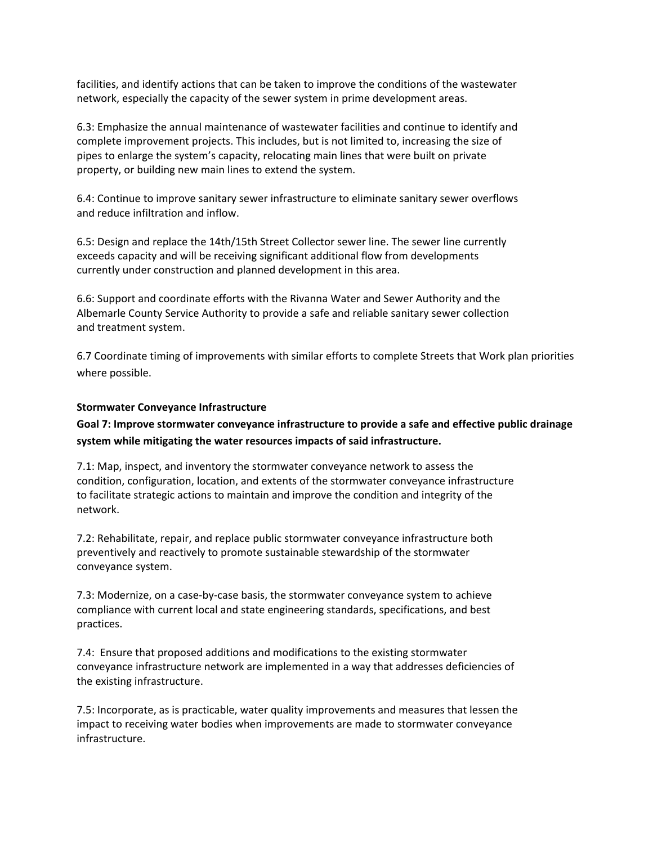facilities, and identify actions that can be taken to improve the conditions of the wastewater network, especially the capacity of the sewer system in prime development areas.

6.3: Emphasize the annual maintenance of wastewater facilities and continue to identify and complete improvement projects. This includes, but is not limited to, increasing the size of pipes to enlarge the system's capacity, relocating main lines that were built on private property, or building new main lines to extend the system.

6.4: Continue to improve sanitary sewer infrastructure to eliminate sanitary sewer overflows and reduce infiltration and inflow.

6.5: Design and replace the 14th/15th Street Collector sewer line. The sewer line currently exceeds capacity and will be receiving significant additional flow from developments currently under construction and planned development in this area.

6.6: Support and coordinate efforts with the Rivanna Water and Sewer Authority and the Albemarle County Service Authority to provide a safe and reliable sanitary sewer collection and treatment system.

6.7 Coordinate timing of improvements with similar efforts to complete Streets that Work plan priorities where possible.

### **Stormwater Conveyance Infrastructure**

# **Goal 7: Improve stormwater conveyance infrastructure to provide a safe and effective public drainage system while mitigating the water resources impacts of said infrastructure.**

7.1: Map, inspect, and inventory the stormwater conveyance network to assess the condition, configuration, location, and extents of the stormwater conveyance infrastructure to facilitate strategic actions to maintain and improve the condition and integrity of the network.

7.2: Rehabilitate, repair, and replace public stormwater conveyance infrastructure both preventively and reactively to promote sustainable stewardship of the stormwater conveyance system.

7.3: Modernize, on a case-by-case basis, the stormwater conveyance system to achieve compliance with current local and state engineering standards, specifications, and best practices.

7.4: Ensure that proposed additions and modifications to the existing stormwater conveyance infrastructure network are implemented in a way that addresses deficiencies of the existing infrastructure.

7.5: Incorporate, as is practicable, water quality improvements and measures that lessen the impact to receiving water bodies when improvements are made to stormwater conveyance infrastructure.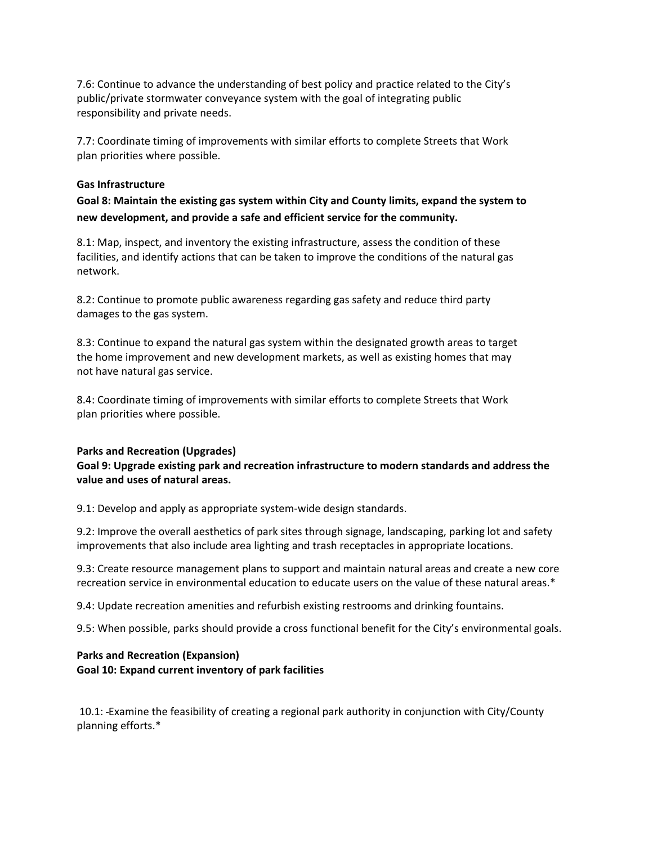7.6: Continue to advance the understanding of best policy and practice related to the City's public/private stormwater conveyance system with the goal of integrating public responsibility and private needs.

7.7: Coordinate timing of improvements with similar efforts to complete Streets that Work plan priorities where possible.

### **Gas Infrastructure**

**Goal 8: Maintain the existing gas system within City and County limits, expand the system to new development, and provide a safe and efficient service for the community.**

8.1: Map, inspect, and inventory the existing infrastructure, assess the condition of these facilities, and identify actions that can be taken to improve the conditions of the natural gas network.

8.2: Continue to promote public awareness regarding gas safety and reduce third party damages to the gas system.

8.3: Continue to expand the natural gas system within the designated growth areas to target the home improvement and new development markets, as well as existing homes that may not have natural gas service.

8.4: Coordinate timing of improvements with similar efforts to complete Streets that Work plan priorities where possible.

### **Parks and Recreation (Upgrades)**

**Goal 9: Upgrade existing park and recreation infrastructure to modern standards and address the value and uses of natural areas.**

9.1: Develop and apply as appropriate system-wide design standards.

9.2: Improve the overall aesthetics of park sites through signage, landscaping, parking lot and safety improvements that also include area lighting and trash receptacles in appropriate locations.

9.3: Create resource management plans to support and maintain natural areas and create a new core recreation service in environmental education to educate users on the value of these natural areas.\*

9.4: Update recreation amenities and refurbish existing restrooms and drinking fountains.

9.5: When possible, parks should provide a cross functional benefit for the City's environmental goals.

## **Parks and Recreation (Expansion) Goal 10: Expand current inventory of park facilities**

10.1: Examine the feasibility of creating a regional park authority in conjunction with City/County planning efforts.\*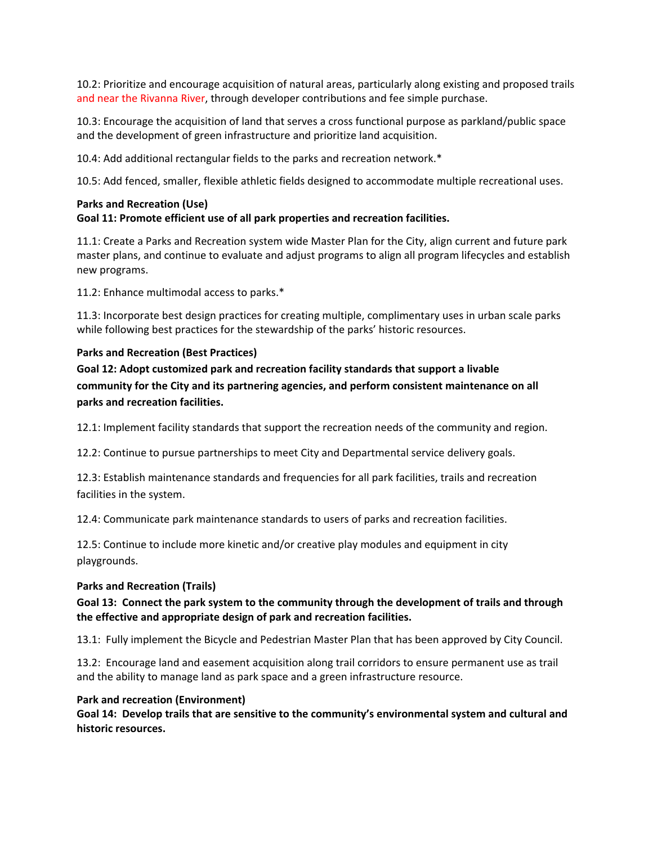10.2: Prioritize and encourage acquisition of natural areas, particularly along existing and proposed trails and near the Rivanna River, through developer contributions and fee simple purchase.

10.3: Encourage the acquisition of land that serves a cross functional purpose as parkland/public space and the development of green infrastructure and prioritize land acquisition.

10.4: Add additional rectangular fields to the parks and recreation network.\*

10.5: Add fenced, smaller, flexible athletic fields designed to accommodate multiple recreational uses.

# **Parks and Recreation (Use)**

### **Goal 11: Promote efficient use of all park properties and recreation facilities.**

11.1: Create a Parks and Recreation system wide Master Plan for the City, align current and future park master plans, and continue to evaluate and adjust programs to align all program lifecycles and establish new programs.

11.2: Enhance multimodal access to parks.\*

11.3: Incorporate best design practices for creating multiple, complimentary uses in urban scale parks while following best practices for the stewardship of the parks' historic resources.

### **Parks and Recreation (Best Practices)**

**Goal 12: Adopt customized park and recreation facility standards that support a livable community for the City and its partnering agencies, and perform consistent maintenance on all parks and recreation facilities.**

12.1: Implement facility standards that support the recreation needs of the community and region.

12.2: Continue to pursue partnerships to meet City and Departmental service delivery goals.

12.3: Establish maintenance standards and frequencies for all park facilities, trails and recreation facilities in the system.

12.4: Communicate park maintenance standards to users of parks and recreation facilities.

12.5: Continue to include more kinetic and/or creative play modules and equipment in city playgrounds.

### **Parks and Recreation (Trails)**

## **Goal 13: Connect the park system to the community through the development of trails and through the effective and appropriate design of park and recreation facilities.**

13.1: Fully implement the Bicycle and Pedestrian Master Plan that has been approved by City Council.

13.2: Encourage land and easement acquisition along trail corridors to ensure permanent use as trail and the ability to manage land as park space and a green infrastructure resource.

### **Park and recreation (Environment)**

**Goal 14: Develop trails that are sensitive to the community's environmental system and cultural and historic resources.**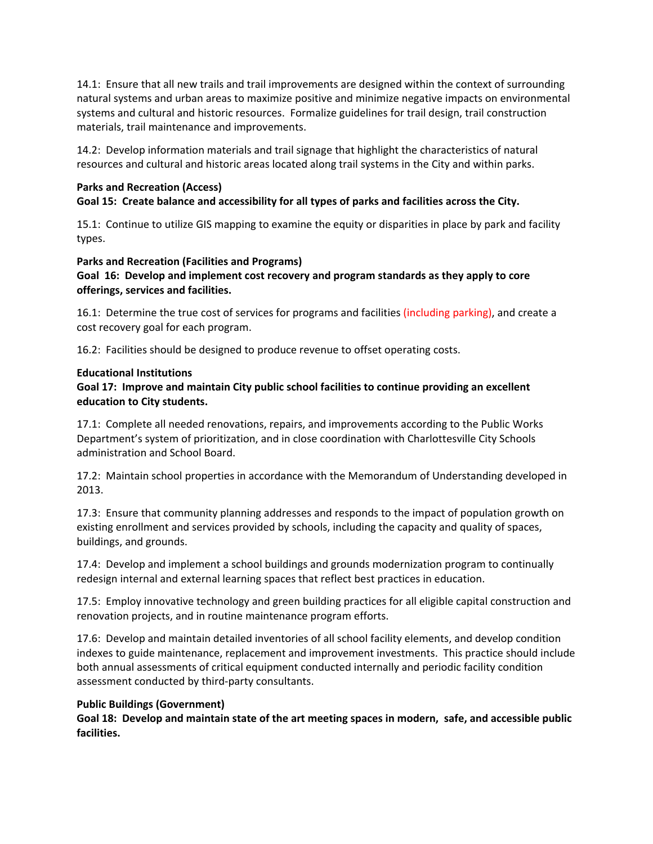14.1: Ensure that all new trails and trail improvements are designed within the context of surrounding natural systems and urban areas to maximize positive and minimize negative impacts on environmental systems and cultural and historic resources. Formalize guidelines for trail design, trail construction materials, trail maintenance and improvements.

14.2: Develop information materials and trail signage that highlight the characteristics of natural resources and cultural and historic areas located along trail systems in the City and within parks.

### **Parks and Recreation (Access)**

## **Goal 15: Create balance and accessibility for all types of parks and facilities across the City.**

15.1: Continue to utilize GIS mapping to examine the equity or disparities in place by park and facility types.

### **Parks and Recreation (Facilities and Programs)**

**Goal 16: Develop and implement cost recovery and program standards as they apply to core offerings, services and facilities.** 

16.1: Determine the true cost of services for programs and facilities (including parking), and create a cost recovery goal for each program.

16.2: Facilities should be designed to produce revenue to offset operating costs.

### **Educational Institutions**

## **Goal 17: Improve and maintain City public school facilities to continue providing an excellent education to City students.**

17.1: Complete all needed renovations, repairs, and improvements according to the Public Works Department's system of prioritization, and in close coordination with Charlottesville City Schools administration and School Board.

17.2: Maintain school properties in accordance with the Memorandum of Understanding developed in 2013.

17.3: Ensure that community planning addresses and responds to the impact of population growth on existing enrollment and services provided by schools, including the capacity and quality of spaces, buildings, and grounds.

17.4: Develop and implement a school buildings and grounds modernization program to continually redesign internal and external learning spaces that reflect best practices in education.

17.5: Employ innovative technology and green building practices for all eligible capital construction and renovation projects, and in routine maintenance program efforts.

17.6: Develop and maintain detailed inventories of all school facility elements, and develop condition indexes to guide maintenance, replacement and improvement investments. This practice should include both annual assessments of critical equipment conducted internally and periodic facility condition assessment conducted by third-party consultants.

### **Public Buildings (Government)**

**Goal 18: Develop and maintain state of the art meeting spaces in modern, safe, and accessible public facilities.**